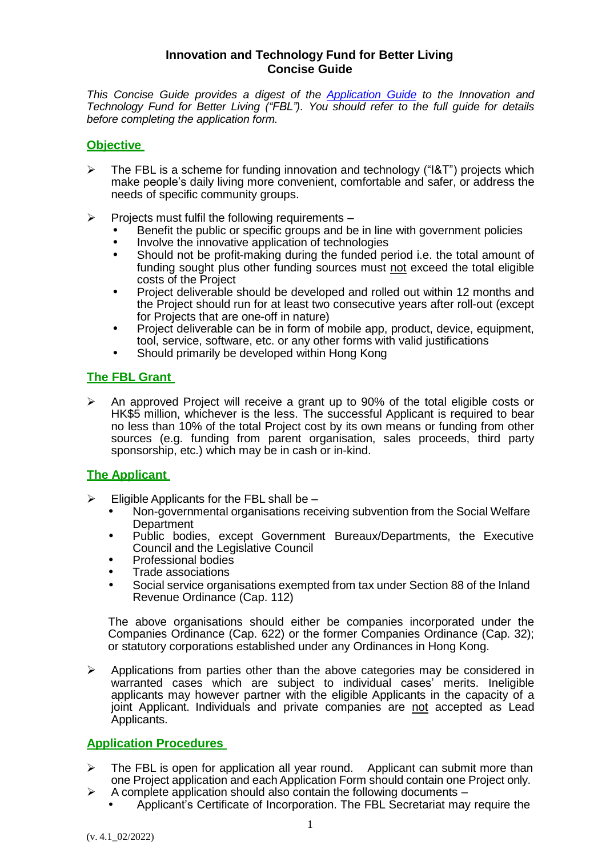### **Innovation and Technology Fund for Better Living Concise Guide**

*This Concise Guide provides a digest of the Application Guide to the Innovation and Technology Fund for Better Living ("FBL"). You should refer to the full guide for details before completing the application form.*

#### **Objective**

- $\triangleright$  The FBL is a scheme for funding innovation and technology ("I&T") projects which make people's daily living more convenient, comfortable and safer, or address the needs of specific community groups.
- $\triangleright$  Projects must fulfil the following requirements
	- Benefit the public or specific groups and be in line with government policies
	- Involve the innovative application of technologies<br>• Should not be profit-making during the funded pe
	- Should not be profit-making during the funded period i.e. the total amount of funding sought plus other funding sources must not exceed the total eligible costs of the Project
	- Project deliverable should be developed and rolled out within 12 months and the Project should run for at least two consecutive years after roll-out (except for Projects that are one-off in nature)
	- Project deliverable can be in form of mobile app, product, device, equipment, tool, service, software, etc. or any other forms with valid justifications
	- Should primarily be developed within Hong Kong

## **The FBL Grant**

 $\triangleright$  An approved Project will receive a grant up to 90% of the total eligible costs or HK\$5 million, whichever is the less. The successful Applicant is required to bear no less than 10% of the total Project cost by its own means or funding from other sources (e.g. funding from parent organisation, sales proceeds, third party sponsorship, etc.) which may be in cash or in-kind.

## **The Applicant**

- $\triangleright$  Eligible Applicants for the FBL shall be
	- Non-governmental organisations receiving subvention from the Social Welfare **Department**
	- Public bodies, except Government Bureaux/Departments, the Executive Council and the Legislative Council
	- Professional bodies
	- Trade associations
	- Social service organisations exempted from tax under Section 88 of the Inland Revenue Ordinance (Cap. 112)

The above organisations should either be companies incorporated under the Companies Ordinance (Cap. 622) or the former Companies Ordinance (Cap. 32); or statutory corporations established under any Ordinances in Hong Kong.

 $\triangleright$  Applications from parties other than the above categories may be considered in warranted cases which are subject to individual cases' merits. Ineligible applicants may however partner with the eligible Applicants in the capacity of a joint Applicant. Individuals and private companies are not accepted as Lead Applicants.

## **Application Procedures**

- $\triangleright$  The FBL is open for application all year round. Applicant can submit more than one Project application and each Application Form should contain one Project only.
- $\triangleright$  A complete application should also contain the following documents
	- Applicant's Certificate of Incorporation. The FBL Secretariat may require the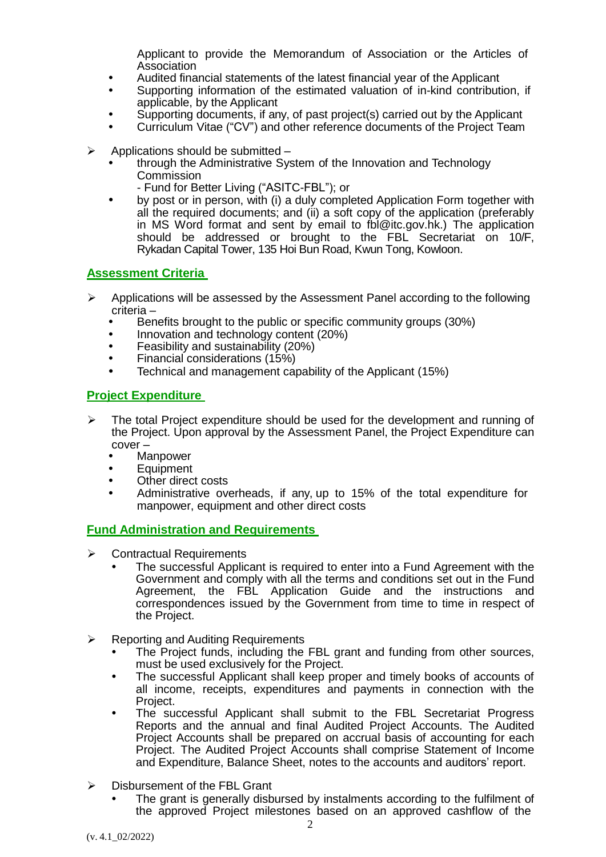Applicant to provide the Memorandum of Association or the Articles of Association

- Audited financial statements of the latest financial year of the Applicant
- Supporting information of the estimated valuation of in-kind contribution, if applicable, by the Applicant
- Supporting documents, if any, of past project(s) carried out by the Applicant
- Curriculum Vitae ("CV") and other reference documents of the Project Team
- $\triangleright$  Applications should be submitted
	- through the Administrative System of the Innovation and Technology **Commission** 
		- Fund for Better Living ("ASITC-FBL"); or
	- by post or in person, with (i) a duly completed Application Form together with all the required documents; and (ii) a soft copy of the application (preferably in MS Word format and sent by email to fbl@itc.gov.hk.) The application should be addressed or brought to the FBL Secretariat on 10/F, Rykadan Capital Tower, 135 Hoi Bun Road, Kwun Tong, Kowloon.

# **Assessment Criteria**

- $\triangleright$  Applications will be assessed by the Assessment Panel according to the following criteria –
	- Benefits brought to the public or specific community groups (30%)
	- Innovation and technology content (20%)
	- Feasibility and sustainability (20%)
	- Financial considerations (15%)
	- Technical and management capability of the Applicant (15%)

# **Project Expenditure**

- $\triangleright$  The total Project expenditure should be used for the development and running of the Project. Upon approval by the Assessment Panel, the Project Expenditure can cover –
	- Manpower
	- **Equipment**
	- Other direct costs
	- Administrative overheads, if any, up to 15% of the total expenditure for manpower, equipment and other direct costs

# **Fund Administration and Requirements**

- $\triangleright$  Contractual Requirements
	- The successful Applicant is required to enter into a Fund Agreement with the Government and comply with all the terms and conditions set out in the Fund Agreement, the FBL Application Guide and the instructions and correspondences issued by the Government from time to time in respect of the Project.
- $\triangleright$  Reporting and Auditing Requirements
	- The Project funds, including the FBL grant and funding from other sources, must be used exclusively for the Project.
	- The successful Applicant shall keep proper and timely books of accounts of all income, receipts, expenditures and payments in connection with the Project.
	- The successful Applicant shall submit to the FBL Secretariat Progress Reports and the annual and final Audited Project Accounts. The Audited Project Accounts shall be prepared on accrual basis of accounting for each Project. The Audited Project Accounts shall comprise Statement of Income and Expenditure, Balance Sheet, notes to the accounts and auditors' report.
- $\triangleright$  Disbursement of the FBL Grant
	- The grant is generally disbursed by instalments according to the fulfilment of the approved Project milestones based on an approved cashflow of the